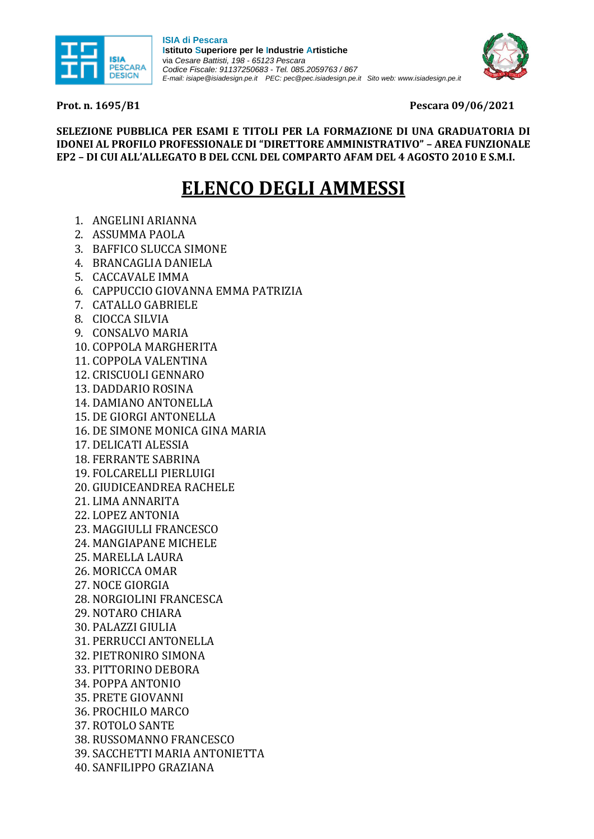

**ISIA di Pescara Istituto Superiore per le Industrie Artistiche** via *Cesare Battisti, 198 - 65123 Pescara Codice Fiscale: 91137250683* - *Tel. 085.2059763 / 867 E-mail: isiape@isiadesign.pe.it PEC[: pec@pec.isiadesign.pe.it](mailto:pec@pec.isiadesign.pe.it) Sito web: [www.isiadesign.pe.it](http://www.isiadesign.pe.it/)*



**Prot. n. 1695/B1 Pescara 09/06/2021**

**SELEZIONE PUBBLICA PER ESAMI E TITOLI PER LA FORMAZIONE DI UNA GRADUATORIA DI IDONEI AL PROFILO PROFESSIONALE DI "DIRETTORE AMMINISTRATIVO" – AREA FUNZIONALE EP2 – DI CUI ALL'ALLEGATO B DEL CCNL DEL COMPARTO AFAM DEL 4 AGOSTO 2010 E S.M.I.**

## **ELENCO DEGLI AMMESSI**

- 1. ANGELINI ARIANNA
- 2. ASSUMMA PAOLA
- 3. BAFFICO SLUCCA SIMONE
- 4. BRANCAGLIA DANIELA
- 5. CACCAVALE IMMA
- 6. CAPPUCCIO GIOVANNA EMMA PATRIZIA
- 7. CATALLO GABRIELE
- 8. CIOCCA SILVIA
- 9. CONSALVO MARIA
- 10. COPPOLA MARGHERITA
- 11. COPPOLA VALENTINA
- 12. CRISCUOLI GENNARO
- 13. DADDARIO ROSINA
- 14. DAMIANO ANTONELLA
- 15. DE GIORGI ANTONELLA
- 16. DE SIMONE MONICA GINA MARIA
- 17. DELICATI ALESSIA
- 18. FERRANTE SABRINA
- 19. FOLCARELLI PIERLUIGI
- 20. GIUDICEANDREA RACHELE
- 21. LIMA ANNARITA
- 22. LOPEZ ANTONIA
- 23. MAGGIULLI FRANCESCO
- 24. MANGIAPANE MICHELE
- 25. MARELLA LAURA
- 26. MORICCA OMAR
- 27. NOCE GIORGIA
- 
- 28. NORGIOLINI FRANCESCA
- 29. NOTARO CHIARA
- 30. PALAZZI GIULIA
- 31. PERRUCCI ANTONELLA
- 32. PIETRONIRO SIMONA
- 33. PITTORINO DEBORA
- 34. POPPA ANTONIO
- 35. PRETE GIOVANNI
- 36. PROCHILO MARCO
- 37. ROTOLO SANTE
- 38. RUSSOMANNO FRANCESCO
- 39. SACCHETTI MARIA ANTONIETTA
- 40. SANFILIPPO GRAZIANA